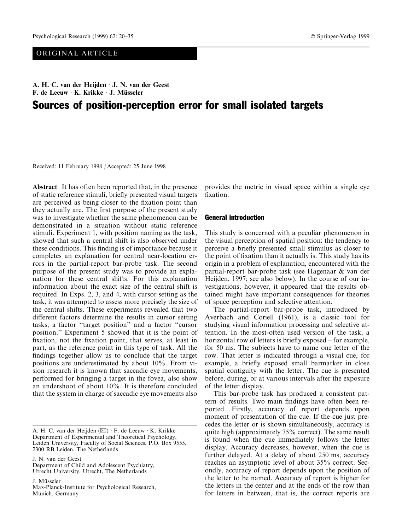# ORIGINAL ARTICLE

A. H. C. van der Heijden  $\cdot$  J. N. van der Geest F. de Leeuw  $\cdot$  K. Krikke  $\cdot$  J. Müsseler

# Sources of position-perception error for small isolated targets

Received: 11 February 1998 / Accepted: 25 June 1998

Abstract It has often been reported that, in the presence of static reference stimuli, briefly presented visual targets are perceived as being closer to the fixation point than they actually are. The first purpose of the present study was to investigate whether the same phenomenon can be demonstrated in a situation without static reference stimuli. Experiment 1, with position naming as the task, showed that such a central shift is also observed under these conditions. This finding is of importance because it completes an explanation for central near-location errors in the partial-report bar-probe task. The second purpose of the present study was to provide an explanation for these central shifts. For this explanation information about the exact size of the central shift is required. In Exps. 2, 3, and 4, with cursor setting as the task, it was attempted to assess more precisely the size of the central shifts. These experiments revealed that two different factors determine the results in cursor setting tasks; a factor "target position" and a factor "cursor position.'' Experiment 5 showed that it is the point of fixation, not the fixation point, that serves, at least in part, as the reference point in this type of task. All the findings together allow us to conclude that the target positions are underestimated by about 10%. From vision research it is known that saccadic eye movements, performed for bringing a target in the fovea, also show an undershoot of about 10%. It is therefore concluded that the system in charge of saccadic eye movements also

J. N. van der Geest

Department of Child and Adolescent Psychiatry, Utrecht University, Utrecht, The Netherlands

J. Müsseler

Max-Planck-Institute for Psychological Research, Munich, Germany

provides the metric in visual space within a single eye fixation.

#### General introduction

This study is concerned with a peculiar phenomenon in the visual perception of spatial position: the tendency to perceive a briefly presented small stimulus as closer to the point of fixation than it actually is. This study has its origin in a problem of explanation, encountered with the partial-report bar-probe task (see Hagenaar & van der Heijden, 1997; see also below). In the course of our investigations, however, it appeared that the results obtained might have important consequences for theories of space perception and selective attention.

The partial-report bar-probe task, introduced by Averbach and Coriell (1961), is a classic tool for studying visual information processing and selective attention. In the most-often used version of the task, a horizontal row of letters is briefly exposed  $-$  for example, for 50 ms. The subjects have to name one letter of the row. That letter is indicated through a visual cue, for example, a briefly exposed small barmarker in close spatial contiguity with the letter. The cue is presented before, during, or at various intervals after the exposure of the letter display.

This bar-probe task has produced a consistent pattern of results. Two main findings have often been reported. Firstly, accuracy of report depends upon moment of presentation of the cue. If the cue just precedes the letter or is shown simultaneously, accuracy is quite high (approximately 75% correct). The same result is found when the cue immediately follows the letter display. Accuracy decreases, however, when the cue is further delayed. At a delay of about 250 ms, accuracy reaches an asymptotic level of about 35% correct. Secondly, accuracy of report depends upon the position of the letter to be named. Accuracy of report is higher for the letters in the center and at the ends of the row than for letters in between, that is, the correct reports are

A. H. C. van der Heijden  $(\boxtimes) \cdot F$ . de Leeuw  $\cdot K$ . Krikke Department of Experimental and Theoretical Psychology, Leiden University, Faculty of Social Sciences, P.O. Box 9555, 2300 RB Leiden, The Netherlands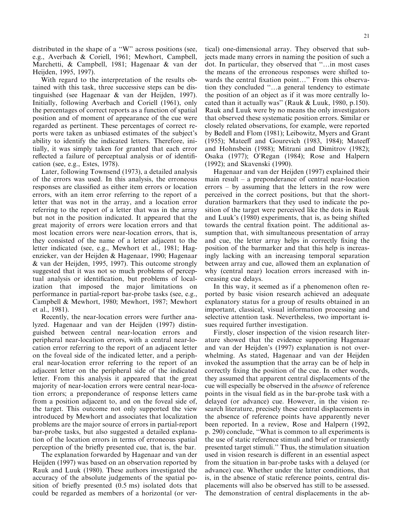distributed in the shape of a "W" across positions (see, e.g., Averbach & Coriell, 1961; Mewhort, Campbell, Marchetti, & Campbell, 1981; Hagenaar & van der Heijden, 1995, 1997).

With regard to the interpretation of the results obtained with this task, three successive steps can be distinguished (see Hagenaar & van der Heijden, 1997). Initially, following Averbach and Coriell (1961), only the percentages of correct reports as a function of spatial position and of moment of appearance of the cue were regarded as pertinent. These percentages of correct reports were taken as unbiased estimates of the subject's ability to identify the indicated letters. Therefore, initially, it was simply taken for granted that each error reflected a failure of perceptual analysis or of identification (see, e.g., Estes, 1978).

Later, following Townsend (1973), a detailed analysis of the errors was used. In this analysis, the erroneous responses are classified as either item errors or location errors, with an item error referring to the report of a letter that was not in the array, and a location error referring to the report of a letter that was in the array but not in the position indicated. It appeared that the great majority of errors were location errors and that most location errors were near-location errors, that is, they consisted of the name of a letter adjacent to the letter indicated (see, e.g., Mewhort et al., 1981; Hagenzieker, van der Heijden & Hagenaar, 1990; Hagenaar & van der Heijden, 1995, 1997). This outcome strongly suggested that it was not so much problems of perceptual analysis or identification, but problems of localization that imposed the major limitations on performance in partial-report bar-probe tasks (see, e.g., Campbell & Mewhort, 1980; Mewhort, 1987; Mewhort et al., 1981).

Recently, the near-location errors were further analyzed. Hagenaar and van der Heijden (1997) distinguished between central near-location errors and peripheral near-location errors, with a central near-location error referring to the report of an adjacent letter on the foveal side of the indicated letter, and a peripheral near-location error referring to the report of an adjacent letter on the peripheral side of the indicated letter. From this analysis it appeared that the great majority of near-location errors were central near-location errors; a preponderance of response letters came from a position adjacent to, and on the foveal side of, the target. This outcome not only supported the view introduced by Mewhort and associates that localization problems are the major source of errors in partial-report bar-probe tasks, but also suggested a detailed explanation of the location errors in terms of erroneous spatial perception of the briefly presented cue, that is, the bar.

The explanation forwarded by Hagenaar and van der Heijden (1997) was based on an observation reported by Rauk and Luuk (1980). These authors investigated the accuracy of the absolute judgements of the spatial position of briefly presented  $(0.5 \text{ ms})$  isolated dots that could be regarded as members of a horizontal (or ver-

tical) one-dimensional array. They observed that subjects made many errors in naming the position of such a dot. In particular, they observed that "...in most cases the means of the erroneous responses were shifted towards the central fixation point..." From this observation they concluded "...a general tendency to estimate the position of an object as if it was more centrally located than it actually was'' (Rauk & Luuk, 1980, p.150). Rauk and Luuk were by no means the only investigators that observed these systematic position errors. Similar or closely related observations, for example, were reported by Bedell and Flom (1981); Leibowitz, Myers and Grant  $(1955)$ ; Mateeff and Gourevich  $(1983, 1984)$ ; Mateeff and Hohnsbein (1988); Mitrani and Dimitrov (1982); Osaka (1977); O'Regan (1984); Rose and Halpern (1992); and Skavenski (1990).

Hagenaar and van der Heijden (1997) explained their main result  $-$  a preponderance of central near-location  $errors - by assuming that the letters in the row were$ perceived in the correct positions, but that the shortduration barmarkers that they used to indicate the position of the target were perceived like the dots in Rauk and Luuk's (1980) experiments, that is, as being shifted towards the central fixation point. The additional assumption that, with simultaneous presentation of array and cue, the letter array helps in correctly fixing the position of the barmarker and that this help is increasingly lacking with an increasing temporal separation between array and cue, allowed them an explanation of why (central near) location errors increased with increasing cue delays.

In this way, it seemed as if a phenomenon often reported by basic vision research achieved an adequate explanatory status for a group of results obtained in an important, classical, visual information processing and selective attention task. Nevertheless, two important issues required further investigation.

Firstly, closer inspection of the vision research literature showed that the evidence supporting Hagenaar and van der Heijden's (1997) explanation is not overwhelming. As stated, Hagenaar and van der Heijden invoked the assumption that the array can be of help in correctly fixing the position of the cue. In other words, they assumed that apparent central displacements of the cue will especially be observed in the absence of reference points in the visual field as in the bar-probe task with a delayed (or advance) cue. However, in the vision research literature, precisely these central displacements in the absence of reference points have apparently never been reported. In a review, Rose and Halpern (1992, p. 290) conclude, "What is common to all experiments is the use of static reference stimuli and brief or transiently presented target stimuli.'' Thus, the stimulation situation used in vision research is different in an essential aspect from the situation in bar-probe tasks with a delayed (or advance) cue. Whether under the latter conditions, that is, in the absence of static reference points, central displacements will also be observed has still to be assessed. The demonstration of central displacements in the ab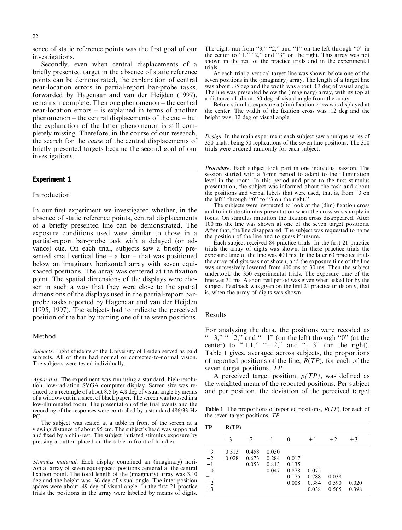sence of static reference points was the first goal of our investigations.

Secondly, even when central displacements of a briefly presented target in the absence of static reference points can be demonstrated, the explanation of central near-location errors in partial-report bar-probe tasks, forwarded by Hagenaar and van der Heijden (1997),  $remains incomplete.$  Then one phenomenon  $-$  the central near-location errors  $-\text{ is explained in terms of another}$ phenomenon  $-$  the central displacements of the cue  $-$  but the explanation of the latter phenomenon is still completely missing. Therefore, in the course of our research, the search for the cause of the central displacements of briefly presented targets became the second goal of our investigations.

### Experiment 1

#### Introduction

In our first experiment we investigated whether, in the absence of static reference points, central displacements of a briefly presented line can be demonstrated. The exposure conditions used were similar to those in a partial-report bar-probe task with a delayed (or advance) cue. On each trial, subjects saw a briefly presented small vertical line  $-$  a bar  $-$  that was positioned below an imaginary horizontal array with seven equispaced positions. The array was centered at the fixation point. The spatial dimensions of the displays were chosen in such a way that they were close to the spatial dimensions of the displays used in the partial-report barprobe tasks reported by Hagenaar and van der Heijden (1995, 1997). The subjects had to indicate the perceived position of the bar by naming one of the seven positions.

#### Method

Subjects. Eight students at the University of Leiden served as paid subjects. All of them had normal or corrected-to-normal vision. The subjects were tested individually.

Apparatus. The experiment was run using a standard, high-resolution, low-radiation SVGA computer display. Screen size was reduced to a rectangle of about 8.5 by 4.8 deg of visual angle by means of a window cut in a sheet of black paper. The screen was housed in a low-illuminated room. The presentation of the trial events and the recording of the responses were controlled by a standard 486/33-Hz PC.

The subject was seated at a table in front of the screen at a viewing distance of about 95 cm. The subject's head was supported and fixed by a chin-rest. The subject initiated stimulus exposure by pressing a button placed on the table in front of him/her.

Stimulus material. Each display contained an (imaginary) horizontal array of seven equi-spaced positions centered at the central fixation point. The total length of the (imaginary) array was 3.10 deg and the height was .36 deg of visual angle. The inter-position spaces were about .49 deg of visual angle. In the first 21 practice trials the positions in the array were labelled by means of digits.

The digits ran from "3," "2," and "1" on the left through "0" in the center to  $\cdot 1$ ,"  $\cdot 2$ ," and  $\cdot 3$ " on the right. This array was not shown in the rest of the practice trials and in the experimental trials.

At each trial a vertical target line was shown below one of the seven positions in the (imaginary) array. The length of a target line was about .35 deg and the width was about .03 deg of visual angle. The line was presented below the (imaginary) array, with its top at a distance of about .60 deg of visual angle from the array.

Before stimulus exposure a (dim) fixation cross was displayed at the center. The width of the fixation cross was .12 deg and the height was .12 deg of visual angle.

Design. In the main experiment each subject saw a unique series of 350 trials, being 50 replications of the seven line positions. The 350 trials were ordered randomly for each subject.

Procedure. Each subject took part in one individual session. The session started with a 5-min period to adapt to the illumination level in the room. In this period and prior to the first stimulus presentation, the subject was informed about the task and about the positions and verbal labels that were used, that is, from ``3 on the left" through " $0$ " to " $3$  on the right."

The subjects were instructed to look at the (dim) fixation cross and to initiate stimulus presentation when the cross was sharply in focus. On stimulus initiation the fixation cross disappeared. After 100 ms the line was shown at one of the seven target positions. After that, the line disappeared. The subject was requested to name the position of the line and to guess if unsure.

Each subject received 84 practice trials. In the first 21 practice trials the array of digits was shown. In these practice trials the exposure time of the line was 400 ms. In the later 63 practice trials the array of digits was not shown, and the exposure time of the line was successively lowered from 400 ms to 30 ms. Then the subject undertook the 350 experimental trials. The exposure time of the line was 30 ms. A short rest period was given when asked for by the subject. Feedback was given on the first 21 practice trials only, that is, when the array of digits was shown.

#### Results

For analyzing the data, the positions were recoded as " $-3$ ," " $-2$ ," and " $-1$ " (on the left) through "0" (at the center) to "+1," "+2," and "+3" (on the right). Table 1 gives, averaged across subjects, the proportions of reported positions of the line,  $R(TP)$ , for each of the seven target positions, TP.

A perceived target position,  $p(TP)$ , was defined as the weighted mean of the reported positions. Per subject and per position, the deviation of the perceived target

**Table 1** The proportions of reported positions,  $R(TP)$ , for each of the seven target positions, TP

| TP                                                                           | R(TP)          |                         |                                  |                                           |                                  |                         |                |
|------------------------------------------------------------------------------|----------------|-------------------------|----------------------------------|-------------------------------------------|----------------------------------|-------------------------|----------------|
|                                                                              | $-3$           | $-2$                    | $-1$                             | $\theta$                                  | $+1$                             | $+2$                    | $+3$           |
| $\frac{-3}{-2}$<br>$-\overline{1}$<br>$\overline{0}$<br>$+1$<br>$+2$<br>$+3$ | 0.513<br>0.028 | 0.458<br>0.673<br>0.053 | 0.030<br>0.284<br>0.813<br>0.047 | 0.017<br>0.135<br>0.878<br>0.175<br>0.008 | 0.075<br>0.788<br>0.384<br>0.038 | 0.038<br>0.590<br>0.565 | 0.020<br>0.398 |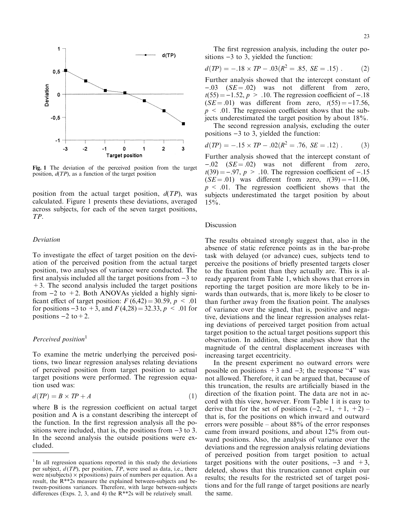

Fig. 1 The deviation of the perceived position from the target position,  $d(TP)$ , as a function of the target position

position from the actual target position,  $d(TP)$ , was calculated. Figure 1 presents these deviations, averaged across subjects, for each of the seven target positions, TP.

#### Deviation

To investigate the effect of target position on the deviation of the perceived position from the actual target position, two analyses of variance were conducted. The first analysis included all the target positions from  $-3$  to  $+3$ . The second analysis included the target positions from  $-2$  to  $+2$ . Both ANOVAs yielded a highly significant effect of target position:  $F(6,42) = 30.59$ ,  $p < .01$ for positions  $-3$  to  $+3$ , and  $F(4,28) = 32.33, p < .01$  for positions  $-2$  to  $+2$ .

### Perceived position<sup>1</sup>

To examine the metric underlying the perceived positions, two linear regression analyses relating deviations of perceived position from target position to actual target positions were performed. The regression equation used was:

$$
d(TP) = B \times TP + A \tag{1}
$$

where B is the regression coefficient on actual target position and A is a constant describing the intercept of the function. In the first regression analysis all the positions were included, that is, the positions from  $-3$  to 3. In the second analysis the outside positions were excluded.

The first regression analysis, including the outer positions  $-3$  to 3, yielded the function:

$$
d(TP) = -.18 \times TP - .03(R^2 = .85, SE = .15) . \tag{2}
$$

Further analysis showed that the intercept constant of  $-.03$  (SE = .02) was not different from zero,  $t(55) = -1.52$ ,  $p > .10$ . The regression coefficient of -.18  $(SE = .01)$  was different from zero,  $t(55) = -17.56$ ,  $p \leq 0.01$ . The regression coefficient shows that the subjects underestimated the target position by about 18%.

The second regression analysis, excluding the outer positions  $-3$  to 3, yielded the function:

$$
d(TP) = -.15 \times TP - .02(R^2 = .76, SE = .12) . \tag{3}
$$

Further analysis showed that the intercept constant of  $-.02$  (SE = .02) was not different from zero,  $t(39) = -0.97$ ,  $p > .10$ . The regression coefficient of  $-.15$  $(SE = .01)$  was different from zero,  $t(39) = -11.06$ ,  $p \leq 0.01$ . The regression coefficient shows that the subjects underestimated the target position by about  $15%$ .

# Discussion

The results obtained strongly suggest that, also in the absence of static reference points as in the bar-probe task with delayed (or advance) cues, subjects tend to perceive the positions of briefly presented targets closer to the fixation point than they actually are. This is already apparent from Table 1, which shows that errors in reporting the target position are more likely to be inwards than outwards, that is, more likely to be closer to than further away from the fixation point. The analyses of variance over the signed, that is, positive and negative, deviations and the linear regression analyses relating deviations of perceived target position from actual target position to the actual target positions support this observation. In addition, these analyses show that the magnitude of the central displacement increases with increasing target eccentricity.

In the present experiment no outward errors were possible on positions  $+3$  and  $-3$ ; the response "4" was not allowed. Therefore, it can be argued that, because of this truncation, the results are artificially biased in the direction of the fixation point. The data are not in accord with this view, however. From Table 1 it is easy to derive that for the set of positions  $(-2, -1, +1, +2)$  – that is, for the positions on which inward and outward errors were possible  $-$  about 88% of the error responses came from inward positions, and about 12% from outward positions. Also, the analysis of variance over the deviations and the regression analysis relating deviations of perceived position from target position to actual target positions with the outer positions,  $-3$  and  $+3$ , deleted, shows that this truncation cannot explain our results; the results for the restricted set of target positions and for the full range of target positions are nearly the same.

<sup>&</sup>lt;sup>1</sup> In all regression equations reported in this study the deviations per subject,  $d(TP)$ , per position,  $TP$ , were used as data, i.e., there were n(subjects)  $\times$  p(positions) pairs of numbers per equation. As a result, the R\*\*2s measure the explained between-subjects and between-positions variances. Therefore, with large between-subjects differences (Exps. 2, 3, and 4) the  $R^{**}$ 2s will be relatively small.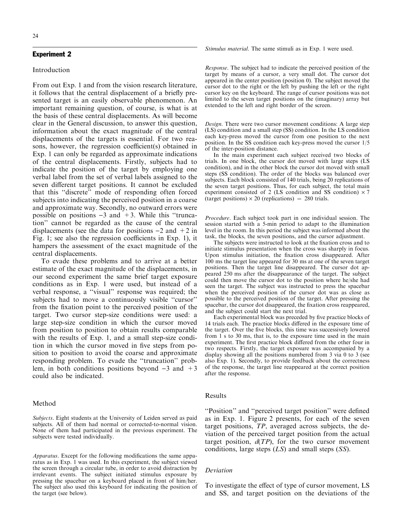#### Experiment 2

#### Introduction

From out Exp. 1 and from the vision research literature, it follows that the central displacement of a briefly presented target is an easily observable phenomenon. An important remaining question, of course, is what is at the basis of these central displacements. As will become clear in the General discussion, to answer this question, information about the exact magnitude of the central displacements of the targets is essential. For two reasons, however, the regression coefficient(s) obtained in Exp. 1 can only be regarded as approximate indications of the central displacements. Firstly, subjects had to indicate the position of the target by employing one verbal label from the set of verbal labels assigned to the seven different target positions. It cannot be excluded that this ``discrete'' mode of responding often forced subjects into indicating the perceived position in a coarse and approximate way. Secondly, no outward errors were possible on positions  $-3$  and  $+3$ . While this "truncation'' cannot be regarded as the cause of the central displacements (see the data for positions  $-2$  and  $+2$  in Fig. 1; see also the regression coefficients in Exp. 1), it hampers the assessment of the exact magnitude of the central displacements.

To evade these problems and to arrive at a better estimate of the exact magnitude of the displacements, in our second experiment the same brief target exposure conditions as in Exp. 1 were used, but instead of a verbal response, a "visual" response was required; the subjects had to move a continuously visible "cursor" from the fixation point to the perceived position of the target. Two cursor step-size conditions were used: a large step-size condition in which the cursor moved from position to position to obtain results comparable with the results of Exp. 1, and a small step-size condition in which the cursor moved in five steps from position to position to avoid the coarse and approximate responding problem. To evade the "truncation" problem, in both conditions positions beyond  $-3$  and  $+3$ could also be indicated.

#### Method

Subjects. Eight students at the University of Leiden served as paid subjects. All of them had normal or corrected-to-normal vision. None of them had participated in the previous experiment. The subjects were tested individually.

Apparatus. Except for the following modifications the same apparatus as in Exp. 1 was used. In this experiment, the subject viewed the screen through a circular tube, in order to avoid distraction by irrelevant events. The subject initiated stimulus exposure by pressing the spacebar on a keyboard placed in front of him/her. The subject also used this keyboard for indicating the position of the target (see below).

Stimulus material. The same stimuli as in Exp. 1 were used.

Response. The subject had to indicate the perceived position of the target by means of a cursor, a very small dot. The cursor dot appeared in the center position (position 0). The subject moved the cursor dot to the right or the left by pushing the left or the right cursor key on the keyboard. The range of cursor positions was not limited to the seven target positions on the (imaginary) array but extended to the left and right border of the screen.

Design. There were two cursor movement conditions: A large step (LS) condition and a small step (SS) condition. In the LS condition each key-press moved the cursor from one position to the next position. In the SS condition each key-press moved the cursor 1/5 of the inter-position distance.

In the main experiment each subject received two blocks of trials. In one block, the cursor dot moved with large steps (LS condition), and in the other block the cursor dot moved with small steps (SS condition). The order of the blocks was balanced over subjects. Each block consisted of 140 trials, being 20 replications of the seven target positions. Thus, for each subject, the total main experiment consisted of 2 (LS condition and SS condition)  $\times$  7 (target positions)  $\times$  20 (replications) = 280 trials.

Procedure. Each subject took part in one individual session. The session started with a 5-min period to adapt to the illumination level in the room. In this period the subject was informed about the task, the blocks, the seven positions, and the cursor adjustment.

The subjects were instructed to look at the fixation cross and to initiate stimulus presentation when the cross was sharply in focus. Upon stimulus initiation, the fixation cross disappeared. After 100 ms the target line appeared for 30 ms at one of the seven target positions. Then the target line disappeared. The cursor dot appeared 250 ms after the disappearance of the target. The subject could then move the cursor dot to the position where he/she had seen the target. The subject was instructed to press the spacebar when the perceived position of the cursor dot was as close as possible to the perceived position of the target. After pressing the spacebar, the cursor dot disappeared, the fixation cross reappeared, and the subject could start the next trial.

Each experimental block was preceded by five practice blocks of 14 trials each. The practice blocks differed in the exposure time of the target. Over the five blocks, this time was successively lowered from 1 s to 30 ms, that is, to the exposure time used in the main experiment. The first practice block differed from the other four in two respects. Firstly, the target exposure was accompanied by a display showing all the positions numbered from 3 via 0 to 3 (see also Exp. 1). Secondly, to provide feedback about the correctness of the response, the target line reappeared at the correct position after the response.

### Results

``Position'' and ``perceived target position'' were de®ned as in Exp. 1. Figure 2 presents, for each of the seven target positions, TP, averaged across subjects, the deviation of the perceived target position from the actual target position,  $d(TP)$ , for the two cursor movement conditions, large steps  $(LS)$  and small steps  $(SS)$ .

# Deviation

To investigate the effect of type of cursor movement, LS and SS, and target position on the deviations of the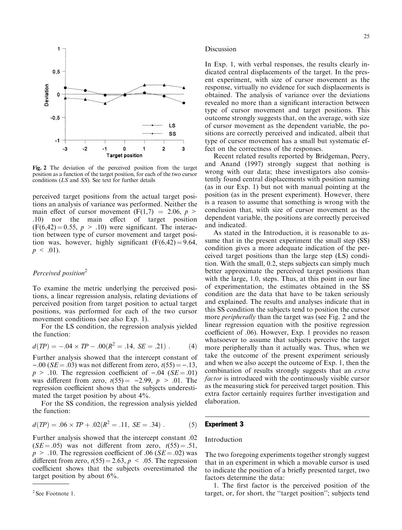

Fig. 2 The deviation of the perceived position from the target position as a function of the target position, for each of the two cursor conditions (LS and SS). See text for further details

perceived target positions from the actual target positions an analysis of variance was performed. Neither the main effect of cursor movement  $(F(1,7) = 2.06, p >$ .10) nor the main effect of target position  $(F(6, 42) = 0.55, p > .10)$  were significant. The interaction between type of cursor movement and target position was, however, highly significant  $(F(6, 42) = 9.64,$  $p \leq .01$ ).

# Perceived position<sup>2</sup>

To examine the metric underlying the perceived positions, a linear regression analysis, relating deviations of perceived position from target position to actual target positions, was performed for each of the two cursor movement conditions (see also Exp. 1).

For the LS condition, the regression analysis yielded the function:

$$
d(TP) = -.04 \times TP - .00(R^2 = .14, SE = .21) . \tag{4}
$$

Further analysis showed that the intercept constant of  $-.00$  (SE = .03) was not different from zero,  $t(55) = -.13$ ,  $p > .10$ . The regression coefficient of  $-.04$  (SE = .01) was different from zero,  $t(55) = -2.99$ ,  $p > .01$ . The regression coefficient shows that the subjects underestimated the target position by about 4%.

For the SS condition, the regression analysis yielded the function:

$$
d(TP) = .06 \times TP + .02(R^2 = .11, SE = .34) \tag{5}
$$

Further analysis showed that the intercept constant .02  $(SE = .05)$  was not different from zero,  $t(55) = .51$ ,  $p > .10$ . The regression coefficient of .06 (SE = .02) was different from zero,  $t(55) = 2.63$ ,  $p < .05$ . The regression coefficient shows that the subjects overestimated the target position by about 6%.

#### Discussion

In Exp. 1, with verbal responses, the results clearly indicated central displacements of the target. In the present experiment, with size of cursor movement as the response, virtually no evidence for such displacements is obtained. The analysis of variance over the deviations revealed no more than a significant interaction between type of cursor movement and target positions. This outcome strongly suggests that, on the average, with size of cursor movement as the dependent variable, the positions are correctly perceived and indicated, albeit that type of cursor movement has a small but systematic effect on the correctness of the responses.

Recent related results reported by Bridgeman, Peery, and Anand (1997) strongly suggest that nothing is wrong with our data; these investigators also consistently found central displacements with position naming (as in our Exp. 1) but not with manual pointing at the position (as in the present experiment). However, there is a reason to assume that something is wrong with the conclusion that, with size of cursor movement as the dependent variable, the positions are correctly perceived and indicated.

As stated in the Introduction, it is reasonable to assume that in the present experiment the small step (SS) condition gives a more adequate indication of the perceived target positions than the large step (LS) condition. With the small, 0.2, steps subjects can simply much better approximate the perceived target positions than with the large, 1.0, steps. Thus, at this point in our line of experimentation, the estimates obtained in the SS condition are the data that have to be taken seriously and explained. The results and analyses indicate that in this SS condition the subjects tend to position the cursor more *peripherally* than the target was (see Fig. 2 and the linear regression equation with the positive regression coefficient of .06). However, Exp. 1 provides no reason whatsoever to assume that subjects perceive the target more peripherally than it actually was. Thus, when we take the outcome of the present experiment seriously and when we also accept the outcome of Exp. 1, then the combination of results strongly suggests that an extra factor is introduced with the continuously visible cursor as the measuring stick for perceived target position. This extra factor certainly requires further investigation and elaboration.

# Experiment 3

#### Introduction

The two foregoing experiments together strongly suggest that in an experiment in which a movable cursor is used to indicate the position of a briefly presented target, two factors determine the data:

1. The first factor is the perceived position of the target, or, for short, the "target position"; subjects tend

<sup>&</sup>lt;sup>2</sup> See Footnote 1.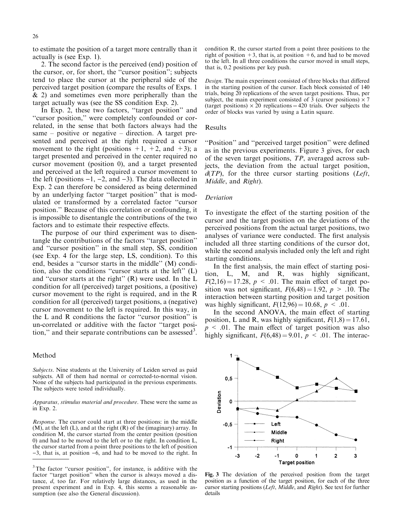to estimate the position of a target more centrally than it actually is (see Exp. 1).

2. The second factor is the perceived (end) position of the cursor, or, for short, the "cursor position"; subjects tend to place the cursor at the peripheral side of the perceived target position (compare the results of Exps. 1 & 2) and sometimes even more peripherally than the target actually was (see the SS condition Exp. 2).

In Exp. 2, these two factors, "target position" and ``cursor position,'' were completely confounded or correlated, in the sense that both factors always had the same  $-$  positive or negative  $-$  direction. A target presented and perceived at the right required a cursor movement to the right (positions  $+1$ ,  $+2$ , and  $+3$ ); a target presented and perceived in the center required no cursor movement (position 0), and a target presented and perceived at the left required a cursor movement to the left (positions  $-1$ ,  $-2$ , and  $-3$ ). The data collected in Exp. 2 can therefore be considered as being determined by an underlying factor "target position" that is modulated or transformed by a correlated factor "cursor position.'' Because of this correlation or confounding, it is impossible to disentangle the contributions of the two factors and to estimate their respective effects.

The purpose of our third experiment was to disentangle the contributions of the factors "target position" and "cursor position" in the small step, SS, condition (see Exp. 4 for the large step, LS, condition). To this end, besides a "cursor starts in the middle" (M) condition, also the conditions "cursor starts at the left"  $(L)$ and "cursor starts at the right"  $(R)$  were used. In the L condition for all (perceived) target positions, a (positive) cursor movement to the right is required, and in the R condition for all (perceived) target positions, a (negative) cursor movement to the left is required. In this way, in the  $L$  and  $R$  conditions the factor "cursor position" is un-correlated or additive with the factor "target position," and their separate contributions can be assessed<sup>3</sup>.

#### Method

Subjects. Nine students at the University of Leiden served as paid subjects. All of them had normal or corrected-to-normal vision. None of the subjects had participated in the previous experiments. The subjects were tested individually.

Apparatus, stimulus material and procedure. These were the same as in Exp. 2.

Response. The cursor could start at three positions: in the middle  $(M)$ , at the left  $(L)$ , and at the right  $(R)$  of the (imaginary) array. In condition M, the cursor started from the center position (position 0) and had to be moved to the left or to the right. In condition L, the cursor started from a point three positions to the left of position  $-3$ , that is, at position  $-6$ , and had to be moved to the right. In condition R, the cursor started from a point three positions to the right of position  $+3$ , that is, at position  $+6$ , and had to be moved to the left. In all three conditions the cursor moved in small steps, that is, 0.2 positions per key push.

Design. The main experiment consisted of three blocks that differed in the starting position of the cursor. Each block consisted of 140 trials, being 20 replications of the seven target positions. Thus, per subject, the main experiment consisted of 3 (cursor positions)  $\times$  7 (target positions)  $\times$  20 replications = 420 trials. Over subjects the order of blocks was varied by using a Latin square.

#### Results

``Position'' and ``perceived target position'' were de®ned as in the previous experiments. Figure 3 gives, for each of the seven target positions, TP, averaged across subjects, the deviation from the actual target position,  $d(TP)$ , for the three cursor starting positions (Left, Middle, and Right).

#### Deviation

To investigate the effect of the starting position of the cursor and the target position on the deviations of the perceived positions from the actual target positions, two analyses of variance were conducted. The first analysis included all three starting conditions of the cursor dot, while the second analysis included only the left and right starting conditions.

In the first analysis, the main effect of starting position,  $L$ ,  $M$ , and  $R$ , was highly significant,  $F(2,16) = 17.28$ ,  $p < .01$ . The main effect of target position was not significant,  $F(6,48) = 1.92$ ,  $p > .10$ . The interaction between starting position and target position was highly significant,  $F(12,96) = 10.68$ ,  $p < .01$ .

In the second ANOVA, the main effect of starting position, L and R, was highly significant,  $F(1,8) = 17.61$ ,  $p \leq 0.01$ . The main effect of target position was also highly significant,  $F(6,48) = 9.01$ ,  $p < .01$ . The interac-

1  $0,5$ Deviation  $\mathbf 0$  $-0.5$ Left Middle Right  $-1$  $-2$  $\mathbf 0$  $\overline{2}$  $-3$  $-1$ 3 **Target position** 

Fig. 3 The deviation of the perceived position from the target position as a function of the target position, for each of the three cursor starting positions (Left, Middle, and Right). See text for further details

 $3$ The factor "cursor position", for instance, is additive with the factor "target position" when the cursor is always moved a distance, d, too far. For relatively large distances, as used in the present experiment and in Exp. 4, this seems a reasonable assumption (see also the General discussion).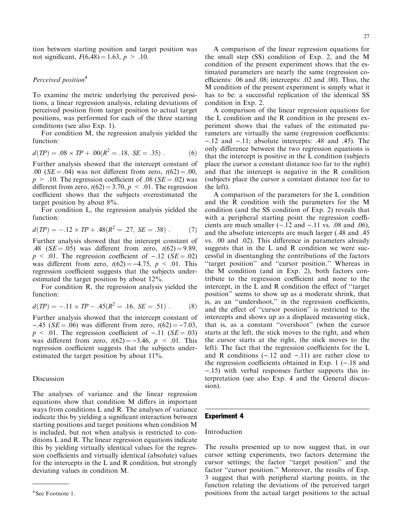tion between starting position and target position was not significant,  $F(6,48) = 1.63$ ,  $p > .10$ .

# Perceived position<sup>4</sup>

To examine the metric underlying the perceived positions, a linear regression analysis, relating deviations of perceived position from target position to actual target positions, was performed for each of the three starting conditions (see also Exp. 1).

For condition M, the regression analysis yielded the function:

$$
d(TP) = .08 \times TP + .00(R^2 = .18, SE = .35) . \tag{6}
$$

Further analysis showed that the intercept constant of .00 ( $SE = .04$ ) was not different from zero,  $t(62) = .00$ ,  $p > .10$ . The regression coefficient of .08 (SE = .02) was different from zero,  $t(62) = 3.70$ ,  $p < .01$ . The regression coefficient shows that the subjects overestimated the target position by about 8%.

For condition L, the regression analysis yielded the function:

$$
d(TP) = -.12 \times TP + .48(R^2 = .27, SE = .38) . \tag{7}
$$

Further analysis showed that the intercept constant of .48 ( $SE = .05$ ) was different from zero,  $t(62) = 9.89$ ,  $p \leq .01$ . The regression coefficient of  $-.12$  (SE = .02) was different from zero,  $t(62) = -4.75$ ,  $p < .01$ . This regression coefficient suggests that the subjects underestimated the target position by about 12%.

For condition R, the regression analysis yielded the function:

$$
d(TP) = -.11 \times TP - .45(R^2 = .16, SE = .51) . \tag{8}
$$

Further analysis showed that the intercept constant of  $-.45$  (SE = .06) was different from zero,  $t(62) = -7.03$ ,  $p \leq .01$ . The regression coefficient of  $-.11$  (SE = .03) was different from zero,  $t(62) = -3.46$ ,  $p < .01$ . This regression coefficient suggests that the subjects underestimated the target position by about 11%.

## Discussion

The analyses of variance and the linear regression equations show that condition M differs in important ways from conditions L and R. The analyses of variance indicate this by yielding a significant interaction between starting positions and target positions when condition M is included, but not when analysis is restricted to conditions L and R. The linear regression equations indicate this by yielding virtually identical values for the regression coefficients and virtually identical (absolute) values for the intercepts in the L and R condition, but strongly deviating values in condition M.

A comparison of the linear regression equations for the small step (SS) condition of Exp. 2, and the M condition of the present experiment shows that the estimated parameters are nearly the same (regression coefficients: .06 and .08; intercepts: .02 and .00). Thus, the M condition of the present experiment is simply what it has to be: a successful replication of the identical SS condition in Exp. 2.

A comparison of the linear regression equations for the L condition and the R condition in the present experiment shows that the values of the estimated parameters are virtually the same (regression coefficients:  $-12$  and  $-11$ ; absolute intercepts: .48 and .45). The only difference between the two regression equations is that the intercept is positive in the L condition (subjects place the cursor a constant distance too far to the right) and that the intercept is negative in the R condition (subjects place the cursor a constant distance too far to the left).

A comparison of the parameters for the L condition and the R condition with the parameters for the M condition (and the SS condition of Exp. 2) reveals that with a peripheral starting point the regression coefficients are much smaller  $(-.12$  and  $-.11$  vs. .08 and .06), and the absolute intercepts are much larger (.48 and .45 vs. .00 and .02). This difference in parameters already suggests that in the L and R condition we were successful in disentangling the contributions of the factors "target position" and "cursor position." Whereas in the M condition (and in Exp. 2), both factors contribute to the regression coefficient and none to the intercept, in the  $L$  and  $R$  condition the effect of "target" position'' seems to show up as a moderate shrink, that  $\overline{i}$ s, as an "undershoot," in the regression coefficients, and the effect of "cursor position" is restricted to the intercepts and shows up as a displaced measuring stick, that is, as a constant "overshoot" (when the cursor starts at the left, the stick moves to the right, and when the cursor starts at the right, the stick moves to the left). The fact that the regression coefficients for the L and R conditions  $(-.12 \text{ and } -.11)$  are rather close to the regression coefficients obtained in Exp. 1  $(-.18$  and ).15) with verbal responses further supports this interpretation (see also Exp. 4 and the General discussion).

# Experiment 4

## Introduction

The results presented up to now suggest that, in our cursor setting experiments, two factors determine the cursor settings; the factor "target position" and the factor "cursor position." Moreover, the results of Exp. 3 suggest that with peripheral starting points, in the function relating the deviations of the perceived target <sup>4</sup> See Footnote 1. **positions** from the actual target positions to the actual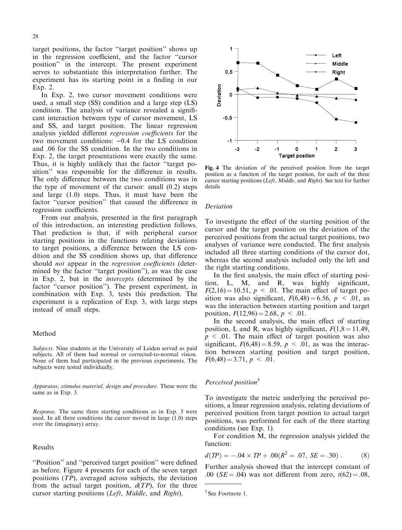target positions, the factor "target position" shows up in the regression coefficient, and the factor "cursor position'' in the intercept. The present experiment serves to substantiate this interpretation further. The experiment has its starting point in a finding in our Exp. 2.

In Exp. 2, two cursor movement conditions were used, a small step (SS) condition and a large step (LS) condition. The analysis of variance revealed a significant interaction between type of cursor movement, LS and SS, and target position. The linear regression analysis yielded different regression coefficients for the two movement conditions:  $-0.4$  for the LS condition and .06 for the SS condition. In the two conditions in Exp. 2, the target presentations were exactly the same. Thus, it is highly unlikely that the factor "target position" was responsible for the difference in results. The only difference between the two conditions was in the type of movement of the cursor: small (0.2) steps and large (1.0) steps. Thus, it must have been the factor "cursor position" that caused the difference in regression coefficients.

From our analysis, presented in the first paragraph of this introduction, an interesting prediction follows. That prediction is that, if with peripheral cursor starting positions in the functions relating deviations to target positions, a difference between the LS condition and the SS condition shows up, that difference should *not* appear in the *regression coefficients* (determined by the factor "target position"), as was the case in Exp. 2, but in the intercepts (determined by the factor "cursor position"). The present experiment, in combination with Exp. 3, tests this prediction. The experiment is a replication of Exp. 3, with large steps instead of small steps.

#### Method

Subjects. Nine students at the University of Leiden served as paid subjects. All of them had normal or corrected-to-normal vision. None of them had participated in the previous experiments. The subjects were tested individually.

Apparatus, stimulus material, design and procedure. These were the same as in Exp. 3.

Response. The same three starting conditions as in Exp. 3 were used. In all three conditions the cursor moved in large (1.0) steps over the (imaginary) array.

#### Results

"Position" and "perceived target position" were defined as before. Figure 4 presents for each of the seven target positions (TP), averaged across subjects, the deviation from the actual target position,  $d(TP)$ , for the three cursor starting positions (Left, Middle, and Right).



Fig. 4 The deviation of the perceived position from the target position as a function of the target position, for each of the three cursor starting positions (*Left, Middle*, and *Right*). See text for further details

#### Deviation

To investigate the effect of the starting position of the cursor and the target position on the deviation of the perceived positions from the actual target positions, two analyses of variance were conducted. The first analysis included all three starting conditions of the cursor dot, whereas the second analysis included only the left and the right starting conditions.

In the first analysis, the main effect of starting position,  $L$ ,  $M$ , and  $R$ , was highly significant,  $F(2,16) = 10.51$ ,  $p < .01$ . The main effect of target position was also significant,  $F(6,48) = 6.56$ ,  $p < .01$ , as was the interaction between starting position and target position,  $F(12,96) = 2.68$ ,  $p < .01$ .

In the second analysis, the main effect of starting position, L and R, was highly significant,  $F(1,8 = 11.49)$ ,  $p \leq 0.01$ . The main effect of target position was also significant,  $F(6,48) = 8.59$ ,  $p < .01$ , as was the interaction between starting position and target position,  $F(6,48) = 3.71, p \le .01.$ 

## Perceived position<sup>5</sup>

To investigate the metric underlying the perceived positions, a linear regression analysis, relating deviations of perceived position from target position to actual target positions, was performed for each of the three starting conditions (see Exp. 1).

For condition M, the regression analysis yielded the function:

$$
d(TP) = -.04 \times TP + .00(R^2 = .07, SE = .30) . \tag{8}
$$

Further analysis showed that the intercept constant of .00 ( $SE = .04$ ) was not different from zero,  $t(62) = .08$ ,

<sup>5</sup> See Footnote 1.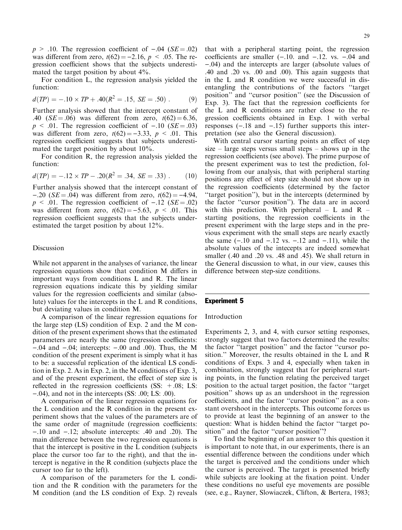$p > .10$ . The regression coefficient of  $-.04$  (SE = .02) was different from zero,  $t(62) = -2.16$ ,  $p < .05$ . The regression coefficient shows that the subjects underestimated the target position by about 4%.

For condition L, the regression analysis yielded the function:

$$
d(TP) = -.10 \times TP + .40(R^2 = .15, SE = .50) . \tag{9}
$$

Further analysis showed that the intercept constant of .40 ( $SE = .06$ ) was different from zero,  $t(62) = 6.36$ ,  $p \leq .01$ . The regression coefficient of  $-.10$  (SE = .03) was different from zero,  $t(62) = -3.33$ ,  $p < .01$ . This regression coefficient suggests that subjects underestimated the target position by about 10%.

For condition R, the regression analysis yielded the function:

$$
d(TP) = -.12 \times TP - .20(R^2 = .34, SE = .33) . \tag{10}
$$

Further analysis showed that the intercept constant of  $-.20$  (SE = .04) was different from zero,  $t(62) = -4.94$ ,  $p \leq 0.01$ . The regression coefficient of  $-.12$  (SE = 02) was different from zero,  $t(62) = -5.63$ ,  $p < .01$ . This regression coefficient suggests that the subjects underestimated the target position by about 12%.

#### Discussion

While not apparent in the analyses of variance, the linear regression equations show that condition M differs in important ways from conditions L and R. The linear regression equations indicate this by yielding similar values for the regression coefficients and similar (absolute) values for the intercepts in the L and R conditions, but deviating values in condition M.

A comparison of the linear regression equations for the large step (LS) condition of Exp. 2 and the M condition of the present experiment shows that the estimated parameters are nearly the same (regression coefficients:  $-.04$  and  $-.04$ ; intercepts:  $-.00$  and  $.00$ ). Thus, the M condition of the present experiment is simply what it has to be: a successful replication of the identical LS condition in Exp. 2. As in Exp. 2, in the M conditions of Exp. 3, and of the present experiment, the effect of step size is reflected in the regression coefficients  $(SS: +.08; LS:$  $(-.04)$ , and not in the intercepts (SS: .00; LS: .00).

A comparison of the linear regression equations for the L condition and the R condition in the present experiment shows that the values of the parameters are of the same order of magnitude (regression coefficients:  $-10$  and  $-12$ ; absolute intercepts:  $.40$  and  $.20$ ). The main difference between the two regression equations is that the intercept is positive in the L condition (subjects place the cursor too far to the right), and that the intercept is negative in the R condition (subjects place the cursor too far to the left).

A comparison of the parameters for the L condition and the R condition with the parameters for the M condition (and the LS condition of Exp. 2) reveals

that with a peripheral starting point, the regression coefficients are smaller  $(-.10.$  and  $-.12.$  vs.  $-.04$  and ).04) and the intercepts are larger (absolute values of .40 and .20 vs. .00 and .00). This again suggests that in the L and R condition we were successful in disentangling the contributions of the factors "target" position" and "cursor position" (see the Discussion of Exp. 3). The fact that the regression coefficients for the L and R conditions are rather close to the regression coefficients obtained in Exp. 1 with verbal responses  $(-.18 \text{ and } -.15)$  further supports this interpretation (see also the General discussion).

With central cursor starting points an effect of step size  $-$  large steps versus small steps  $-$  shows up in the regression coefficients (see above). The prime purpose of the present experiment was to test the prediction, following from our analysis, that with peripheral starting positions any effect of step size should not show up in the regression coefficients (determined by the factor "target position"), but in the intercepts (determined by the factor ``cursor position''). The data are in accord with this prediction. With peripheral  $- L$  and R  $$ starting positions, the regression coefficients in the present experiment with the large steps and in the previous experiment with the small steps are nearly exactly the same  $(-.10$  and  $-.12$  vs.  $-.12$  and  $-.11)$ , while the absolute values of the intecepts are indeed somewhat smaller (.40 and .20 vs. .48 and .45). We shall return in the General discussion to what, in our view, causes this difference between step-size conditions.

# Experiment 5

#### Introduction

Experiments 2, 3, and 4, with cursor setting responses, strongly suggest that two factors determined the results: the factor "target position" and the factor "cursor position.'' Moreover, the results obtained in the L and R conditions of Exps. 3 and 4, especially when taken in combination, strongly suggest that for peripheral starting points, in the function relating the perceived target position to the actual target position, the factor ``target position'' shows up as an undershoot in the regression coefficients, and the factor "cursor position" as a constant overshoot in the intercepts. This outcome forces us to provide at least the beginning of an answer to the question: What is hidden behind the factor "target position" and the factor "cursor position"?

To find the beginning of an answer to this question it is important to note that, in our experiments, there is an essential difference between the conditions under which the target is perceived and the conditions under which the cursor is perceived. The target is presented briefly while subjects are looking at the fixation point. Under these conditions no useful eye movements are possible (see, e.g., Rayner, Slowiaczek, Clifton, & Bertera, 1983;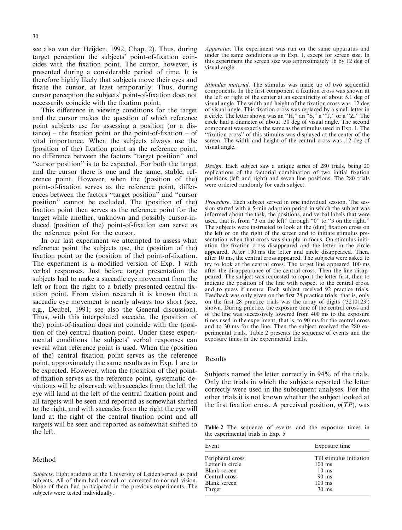see also van der Heijden, 1992, Chap. 2). Thus, during target perception the subjects' point-of-fixation coincides with the fixation point. The cursor, however, is presented during a considerable period of time. It is therefore highly likely that subjects move their eyes and fixate the cursor, at least temporarily. Thus, during cursor perception the subjects' point-of-fixation does not necessarily coincide with the fixation point.

This difference in viewing conditions for the target and the cursor makes the question of which reference point subjects use for assessing a position (or a dis $tance$ ) – the fixation point or the point-of-fixation – of vital importance. When the subjects always use the (position of the) fixation point as the reference point, no difference between the factors "target position" and ``cursor position'' is to be expected. For both the target and the cursor there is one and the same, stable, reference point. However, when the (position of the) point-of-fixation serves as the reference point, differences between the factors "target position" and "cursor position'' cannot be excluded. The (position of the) fixation point then serves as the reference point for the target while another, unknown and possibly cursor-induced (position of the) point-of-fixation can serve as the reference point for the cursor.

In our last experiment we attempted to assess what reference point the subjects use, the (position of the) fixation point or the (position of the) point-of-fixation. The experiment is a modified version of Exp. 1 with verbal responses. Just before target presentation the subjects had to make a saccadic eye movement from the left or from the right to a briefly presented central fixation point. From vision research it is known that a saccadic eye movement is nearly always too short (see, e.g., Deubel, 1991; see also the General discussion). Thus, with this interpolated saccade, the (position of the) point-of-fixation does not coincide with the (position of the) central fixation point. Under these experimental conditions the subjects' verbal responses can reveal what reference point is used. When the (position of the) central fixation point serves as the reference point, approximately the same results as in Exp. 1 are to be expected. However, when the (position of the) pointof-fixation serves as the reference point, systematic deviations will be observed: with saccades from the left the eye will land at the left of the central fixation point and all targets will be seen and reported as somewhat shifted to the right, and with saccades from the right the eye will land at the right of the central fixation point and all targets will be seen and reported as somewhat shifted to the left.

#### Method

Apparatus. The experiment was run on the same apparatus and under the same conditions as in Exp. 1, except for screen size. In this experiment the screen size was approximately 16 by 12 deg of visual angle.

Stimulus material. The stimulus was made up of two sequential components. In the first component a fixation cross was shown at the left or right of the center at an eccentricity of about 5.1 deg of visual angle. The width and height of the fixation cross was .12 deg of visual angle. This fixation cross was replaced by a small letter in a circle. The letter shown was an "H," an  $``S," a "T," or a "Z."$  The circle had a diameter of about .30 deg of visual angle. The second component was exactly the same as the stimulus used in Exp. 1. The "fixation cross" of this stimulus was displayed at the center of the screen. The width and height of the central cross was .12 deg of visual angle.

Design. Each subject saw a unique series of 280 trials, being 20 replications of the factorial combination of two initial fixation positions (left and right) and seven line positions. The 280 trials were ordered randomly for each subject.

Procedure. Each subject served in one individual session. The session started with a 5-min adaption period in which the subject was informed about the task, the positions, and verbal labels that were used, that is, from "3 on the left" through "0" to "3 on the right." The subjects were instructed to look at the (dim) fixation cross on the left or on the right of the screen and to initiate stimulus presentation when that cross was sharply in focus. On stimulus initiation the fixation cross disappeared and the letter in the circle appeared. After 100 ms the letter and circle disappeared. Then, after 10 ms, the central cross appeared. The subjects were asked to try to look at the central cross. The target line appeared 100 ms after the disappearance of the central cross. Then the line disappeared. The subject was requested to report the letter first, then to indicate the position of the line with respect to the central cross, and to guess if unsure. Each subject received 92 practice trials. Feedback was only given on the first 28 practice trials, that is, only on the first 28 practice trials was the array of digits ('3210123') shown. During practice, the exposure time of the central cross and of the line was successively lowered from 400 ms to the exposure times used in the experiment, that is, to 90 ms for the central cross and to 30 ms for the line. Then the subject received the 280 experimental trials. Table 2 presents the sequence of events and the exposure times in the experimental trials.

#### Results

Subjects named the letter correctly in 94% of the trials. Only the trials in which the subjects reported the letter correctly were used in the subsequent analyses. For the other trials it is not known whether the subject looked at the first fixation cross. A perceived position,  $p(TP)$ , was

Table 2 The sequence of events and the exposure times in the experimental trials in Exp. 5

| Event            | Exposure time            |  |  |
|------------------|--------------------------|--|--|
| Peripheral cross | Till stimulus initiation |  |  |
| Letter in circle | $100$ ms                 |  |  |
| Blank screen     | $10 \text{ ms}$          |  |  |
| Central cross    | $90 \text{ ms}$          |  |  |
| Blank screen     | $100$ ms                 |  |  |
| Target           | $30 \text{ ms}$          |  |  |

Subjects. Eight students at the University of Leiden served as paid subjects. All of them had normal or corrected-to-normal vision. None of them had participated in the previous experiments. The subjects were tested individually.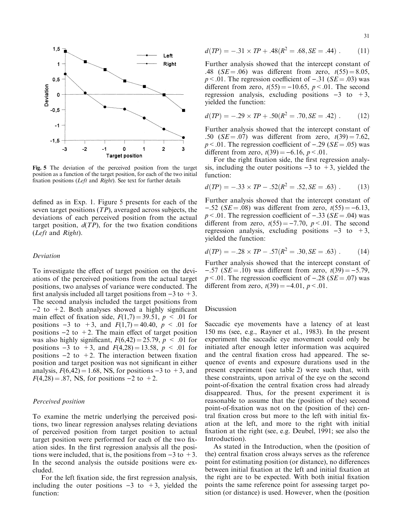

Fig. 5 The deviation of the perceived position from the target position as a function of the target position, for each of the two initial fixation positions (Left and Right). See text for further details

defined as in Exp. 1. Figure 5 presents for each of the seven target positions (TP), averaged across subjects, the deviations of each perceived position from the actual target position,  $d(TP)$ , for the two fixation conditions (Left and Right).

#### Deviation

To investigate the effect of target position on the deviations of the perceived positions from the actual target positions, two analyses of variance were conducted. The first analysis included all target positions from  $-3$  to  $+3$ . The second analysis included the target positions from  $-2$  to  $+2$ . Both analyses showed a highly significant main effect of fixation side,  $F(1,7) = 39.51$ ,  $p < .01$  for positions  $-3$  to  $+3$ , and  $F(1,7) = 40.40$ ,  $p < .01$  for positions  $-2$  to  $+2$ . The main effect of target position was also highly significant,  $F(6,42) = 25.79$ ,  $p < .01$  for positions  $-3$  to  $+3$ , and  $F(4,28) = 13.58$ ,  $p < .01$  for positions  $-2$  to  $+2$ . The interaction between fixation position and target position was not significant in either analysis,  $F(6,42) = 1.68$ , NS, for positions  $-3$  to  $+3$ , and  $F(4,28) = .87$ , NS, for positions  $-2$  to  $+2$ .

#### Perceived position

To examine the metric underlying the perceived positions, two linear regression analyses relating deviations of perceived position from target position to actual target position were performed for each of the two fixation sides. In the first regression analysis all the positions were included, that is, the positions from  $-3$  to  $+3$ . In the second analysis the outside positions were excluded.

For the left fixation side, the first regression analysis, including the outer positions  $-3$  to  $+3$ , yielded the function:

$$
d(TP) = -.31 \times TP + .48(R^2 = .68, SE = .44) \ . \tag{11}
$$

Further analysis showed that the intercept constant of .48 ( $SE = .06$ ) was different from zero,  $t(55) = 8.05$ ,  $p < .01$ . The regression coefficient of  $-.31$  (SE = .03) was different from zero,  $t(55) = -10.65$ ,  $p < .01$ . The second regression analysis, excluding positions  $-3$  to  $+3$ , yielded the function:

$$
d(TP) = -.29 \times TP + .50(R^2 = .70, SE = .42) \ . \tag{12}
$$

Further analysis showed that the intercept constant of .50 ( $SE = .07$ ) was different from zero,  $t(39) = 7.62$ ,  $p < .01$ . The regression coefficient of  $-.29$  (SE = .05) was different from zero,  $t(39) = -6.16$ ,  $p < .01$ .

For the right fixation side, the first regression analysis, including the outer positions  $-3$  to  $+3$ , yielded the function:

$$
d(TP) = -.33 \times TP - .52(R^2 = .52, SE = .63) . \tag{13}
$$

Further analysis showed that the intercept constant of  $-.52$  (SE = .08) was different from zero,  $t(55) = -6.13$ ,  $p < .01$ . The regression coefficient of  $-.33$  (SE = .04) was different from zero,  $t(55) = -7.70$ ,  $p < .01$ . The second regression analysis, excluding positions  $-3$  to  $+3$ , yielded the function:

$$
d(TP) = -.28 \times TP - .57(R^2 = .30, SE = .63) . \tag{14}
$$

Further analysis showed that the intercept constant of  $-.57$  (SE = .10) was different from zero,  $t(39) = -5.79$ ,  $p < .01$ . The regression coefficient of  $-.28$  (SE = .07) was different from zero,  $t(39) = -4.01$ ,  $p < .01$ .

#### Discussion

Saccadic eye movements have a latency of at least 150 ms (see, e.g., Rayner et al., 1983). In the present experiment the saccadic eye movement could only be initiated after enough letter information was acquired and the central fixation cross had appeared. The sequence of events and exposure durations used in the present experiment (see table 2) were such that, with these constraints, upon arrival of the eye on the second point-of-fixation the central fixation cross had already disappeared. Thus, for the present experiment it is reasonable to assume that the (position of the) second point-of-fixation was not on the (position of the) central fixation cross but more to the left with initial fixation at the left, and more to the right with initial fixation at the right (see, e.g. Deubel, 1991; see also the Introduction).

As stated in the Introduction, when the (position of the) central fixation cross always serves as the reference point for estimating position (or distance), no differences between initial fixation at the left and initial fixation at the right are to be expected. With both initial fixation points the same reference point for assessing target position (or distance) is used. However, when the (position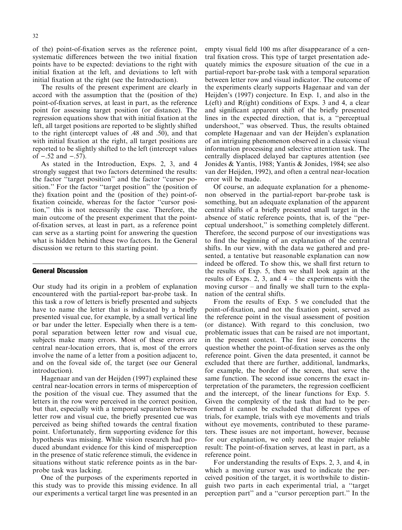of the) point-of-fixation serves as the reference point, systematic differences between the two initial fixation points have to be expected: deviations to the right with initial fixation at the left, and deviations to left with initial fixation at the right (see the Introduction).

The results of the present experiment are clearly in accord with the assumption that the (position of the) point-of-fixation serves, at least in part, as the reference point for assessing target position (or distance). The regression equations show that with initial fixation at the left, all target positions are reported to be slightly shifted to the right (intercept values of .48 and .50), and that with initial fixation at the right, all target positions are reported to be slightly shifted to the left (intercept values of  $-.52$  and  $-.57$ ).

As stated in the Introduction, Exps. 2, 3, and 4 strongly suggest that two factors determined the results: the factor "target position" and the factor "cursor position." For the factor "target position" the (position of the) fixation point and the (position of the) point-offixation coincide, whereas for the factor "cursor position,'' this is not necessarily the case. Therefore, the main outcome of the present experiment that the pointof-fixation serves, at least in part, as a reference point can serve as a starting point for answering the question what is hidden behind these two factors. In the General discussion we return to this starting point.

## General Discussion

Our study had its origin in a problem of explanation encountered with the partial-report bar-probe task. In this task a row of letters is briefly presented and subjects have to name the letter that is indicated by a briefly presented visual cue, for example, by a small vertical line or bar under the letter. Especially when there is a temporal separation between letter row and visual cue, subjects make many errors. Most of these errors are central near-location errors, that is, most of the errors involve the name of a letter from a position adjacent to, and on the foveal side of, the target (see our General introduction).

Hagenaar and van der Heijden (1997) explained these central near-location errors in terms of misperception of the position of the visual cue. They assumed that the letters in the row were perceived in the correct position, but that, especially with a temporal separation between letter row and visual cue, the briefly presented cue was perceived as being shifted towards the central fixation point. Unfortunately, firm supporting evidence for this hypothesis was missing. While vision research had produced abundant evidence for this kind of misperception in the presence of static reference stimuli, the evidence in situations without static reference points as in the barprobe task was lacking.

One of the purposes of the experiments reported in this study was to provide this missing evidence. In all our experiments a vertical target line was presented in an

empty visual field 100 ms after disappearance of a central fixation cross. This type of target presentation adequately mimics the exposure situation of the cue in a partial-report bar-probe task with a temporal separation between letter row and visual indicator. The outcome of the experiments clearly supports Hagenaar and van der Heijden's (1997) conjecture. In Exp. 1, and also in the L(eft) and R(ight) conditions of Exps. 3 and 4, a clear and significant apparent shift of the briefly presented lines in the expected direction, that is, a "perceptual undershoot,'' was observed. Thus, the results obtained complete Hagenaar and van der Heijden's explanation of an intriguing phenomenon observed in a classic visual information processing and selective attention task. The centrally displaced delayed bar captures attention (see Jonides & Yantis, 1988; Yantis & Jonides, 1984; see also van der Heijden, 1992), and often a central near-location error will be made.

Of course, an adequate explanation for a phenomenon observed in the partial-report bar-probe task is something, but an adequate explanation of the apparent central shifts of a briefly presented small target in the absence of static reference points, that is, of the "perceptual undershoot," is something completely different. Therefore, the second purpose of our investigations was to find the beginning of an explanation of the central shifts. In our view, with the data we gathered and presented, a tentative but reasonable explanation can now indeed be offered. To show this, we shall first return to the results of Exp. 5, then we shall look again at the results of Exps. 2, 3, and  $4 -$  the experiments with the moving cursor  $-$  and finally we shall turn to the explanation of the central shifts.

From the results of Exp. 5 we concluded that the point-of-fixation, and not the fixation point, served as the reference point in the visual assessment of position (or distance). With regard to this conclusion, two problematic issues that can be raised are not important, in the present context. The first issue concerns the question whether the point-of-fixation serves as the only reference point. Given the data presented, it cannot be excluded that there are further, additional, landmarks, for example, the border of the screen, that serve the same function. The second issue concerns the exact interpretation of the parameters, the regression coefficient and the intercept, of the linear functions for Exp. 5. Given the complexity of the task that had to be performed it cannot be excluded that different types of trials, for example, trials with eye movements and trials without eye movements, contributed to these parameters. These issues are not important, however, because for our explanation, we only need the major reliable result: The point-of-fixation serves, at least in part, as a reference point.

For understanding the results of Exps. 2, 3, and 4, in which a moving cursor was used to indicate the perceived position of the target, it is worthwhile to distinguish two parts in each experimental trial, a ``target perception part" and a "cursor perception part." In the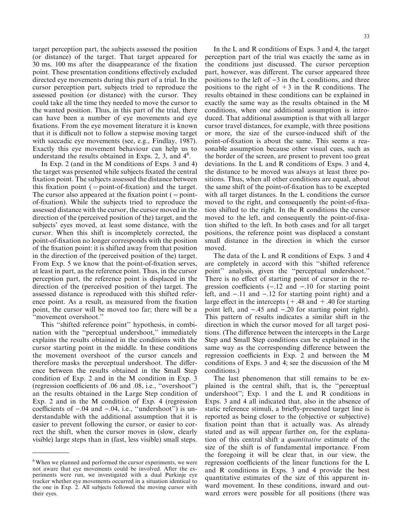target perception part, the subjects assessed the position (or distance) of the target. That target appeared for 30 ms, 100 ms after the disappearance of the fixation point. These presentation conditions effectively excluded directed eye movements during this part of a trial. In the cursor perception part, subjects tried to reproduce the assessed position (or distance) with the cursor. They could take all the time they needed to move the cursor to the wanted position. Thus, in this part of the trial, there can have been a number of eye movements and eye fixations. From the eye movement literature it is known that it is difficult not to follow a stepwise moving target with saccadic eye movements (see, e.g., Findlay, 1987). Exactly this eye movement behaviour can help us to understand the results obtained in Exps. 2, 3, and 4<sup>6</sup>.

In Exp. 2 (and in the M conditions of Exps. 3 and 4) the target was presented while subjects fixated the central fixation point. The subjects assessed the distance between this fixation point ( = point-of-fixation) and the target. The cursor also appeared at the fixation point (  $=$  pointof-fixation). While the subjects tried to reproduce the assessed distance with the cursor, the cursor moved in the direction of the (perceived position of the) target, and the subjects' eyes moved, at least some distance, with the cursor. When this shift is incompletely corrected, the point-of-fixation no longer corresponds with the position of the fixation point: it is shifted away from that position in the direction of the (perceived position of the) target. From Exp. 5 we know that the point-of-fixation serves, at least in part, as the reference point. Thus, in the cursor perception part, the reference point is displaced in the direction of the (perceived position of the) target. The assessed distance is reproduced with this shifted reference point. As a result, as measured from the fixation point, the cursor will be moved too far; there will be a ``movement overshoot.''

This ``shifted reference point'' hypothesis, in combination with the "perceptual undershoot," immediately explains the results obtained in the conditions with the cursor starting point in the middle. In these conditions the movement overshoot of the cursor cancels and therefore masks the perceptual undershoot. The difference between the results obtained in the Small Step condition of Exp. 2 and in the M condition in Exp. 3  $(regression coefficients of .06 and .08, i.e., "overshoot")$ an the results obtained in the Large Step condition of Exp. 2 and in the M condition of Exp. 4 (regression coefficients of  $-.04$  and  $-.04$ , i.e., "undershoot") is understandable with the additional assumption that it is easier to prevent following the cursor, or easier to correct the shift, when the cursor moves in (slow, clearly visible) large steps than in (fast, less visible) small steps.

In the L and R conditions of Exps. 3 and 4, the target perception part of the trial was exactly the same as in the conditions just discussed. The cursor perception part, however, was different. The cursor appeared three positions to the left of  $-3$  in the L conditions, and three positions to the right of  $+3$  in the R conditions. The results obtained in these conditions can be explained in exactly the same way as the results obtained in the M conditions, when one additional assumption is introduced. That additional assumption is that with all larger cursor travel distances, for example, with three positions or more, the size of the cursor-induced shift of the point-of-fixation is about the same. This seems a reasonable assumption because other visual cues, such as the border of the screen, are present to prevent too great deviations. In the L and R conditions of Exps. 3 and 4, the distance to be moved was always at least three positions. Thus, when all other conditions are equal, about the same shift of the point-of-fixation has to be excepted with all target distances. In the L conditions the cursor moved to the right, and consequently the point-of-fixation shifted to the right. In the R conditions the cursor moved to the left, and consequently the point-of-fixation shifted to the left. In both cases and for all target positions, the reference point was displaced a constant small distance in the direction in which the cursor moved.

The data of the L and R conditions of Exps. 3 and 4 are completely in accord with this ``shifted reference point" analysis, given the "perceptual undershoot." There is no effect of starting point of cursor in the regression coefficients  $(-.12 \text{ and } -.10 \text{ for starting point})$ left, and  $-.11$  and  $-.12$  for starting point right) and a large effect in the intercepts  $(+.48$  and  $+.40$  for starting point left, and  $-.45$  and  $-.20$  for starting point right). This pattern of results indicates a similar shift in the direction in which the cursor moved for all target positions. (The difference between the intercepts in the Large Step and Small Step conditions can be explained in the same way as the corresponding difference between the regression coefficients in Exp. 2 and between the M conditions of Exps. 3 and 4; see the discussion of the M conditions.)

The last phenomenon that still remains to be explained is the central shift, that is, the "perceptual undershoot''; Exp. 1 and the L and R conditions in Exps. 3 and 4 all indicated that, also in the absence of static reference stimuli, a briefly-presented target line is reported as being closer to the (objective or subjective) fixation point than that it actually was. As already stated and as will appear further on, for the explanation of this central shift a quantitative estimate of the size of the shift is of fundamental importance. From the foregoing it will be clear that, in our view, the regression coefficients of the linear functions for the L and R conditions in Exps. 3 and 4 provide the best quantitative estimates of the size of this apparent inward movement. In these conditions, inward and outward errors were possible for all positions (there was

<sup>&</sup>lt;sup>6</sup>When we planned and performed the cursor experiments, we were not aware that eye movements could be involved. After the experiments were run, we investigated with a dual Purkinje eye tracker whether eye movements occurred in a situation identical to the one in Exp. 2. All subjects followed the moving cursor with their eyes.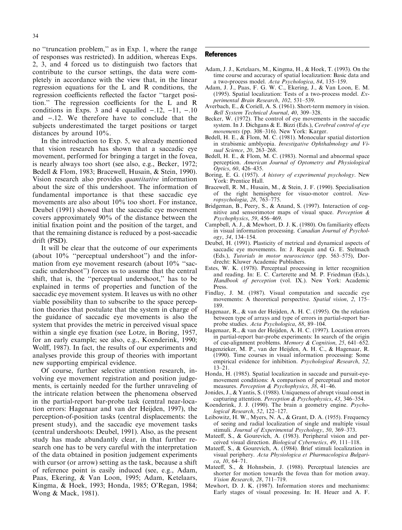no "truncation problem," as in Exp. 1, where the range of responses was restricted). In addition, whereas Exps. 2, 3, and 4 forced us to distinguish two factors that contribute to the cursor settings, the data were completely in accordance with the view that, in the linear regression equations for the L and R conditions, the regression coefficients reflected the factor "target position." The regression coefficients for the L and R conditions in Exps. 3 and 4 equalled  $-.12, -11, -.10$ and  $-.12$ . We therefore have to conclude that the subjects underestimated the target positions or target

distances by around 10%. In the introduction to Exp. 5, we already mentioned that vision research has shown that a saccadic eye movement, performed for bringing a target in the fovea, is nearly always too short (see also, e.g., Becker, 1972; Bedell & Flom, 1983; Bracewell, Husain, & Stein, 1990). Vision research also provides quantitative information about the size of this undershoot. The information of fundamental importance is that these saccadic eye movements are also about 10% too short. For instance, Deubel (1991) showed that the saccadic eye movement covers approximately 90% of the distance between the initial fixation point and the position of the target, and that the remaining distance is reduced by a post-saccadic drift (PSD).

It will be clear that the outcome of our experiments (about  $10\%$  "perceptual undershoot") and the information from eye movement research (about  $10\%$  "saccadic undershoot'') forces us to assume that the central shift, that is, the "perceptual undershoot," has to be explained in terms of properties and function of the saccadic eye movement system. It leaves us with no other viable possibility than to subscribe to the space perception theories that postulate that the system in charge of the guidance of saccadic eye movements is also the system that provides the metric in perceived visual space within a single eye fixation (see Lotze, in Boring, 1957, for an early example; see also, e.g., Koenderink, 1990; Wolff, 1987). In fact, the results of our experiments and analyses provide this group of theories with important new supporting empirical evidence.

Of course, further selective attention research, involving eye movement registration and position judgements, is certainly needed for the further unraveling of the intricate relation between the phenomena observed in the partial-report bar-probe task (central near-location errors: Hagenaar and van der Heijden, 1997), the perception-of-position tasks (central displacements: the present study), and the saccadic eye movement tasks (central undershoots: Deubel, 1991). Also, as the present study has made abundantly clear, in that further research one has to be very careful with the interpretation of the data obtained in position judgement experiments with cursor (or arrow) setting as the task, because a shift of reference point is easily induced (see, e.g., Adam, Paas, Ekering, & Van Loon, 1995; Adam, Ketelaars, Kingma, & Hoek, 1993; Honda, 1985; O'Regan, 1984; Wong & Mack, 1981).

#### **References**

- Adam, J. J., Ketelaars, M., Kingma, H., & Hoek, T. (1993). On the time course and accuracy of spatial localization: Basic data and a two-process model. Acta Psychologica, 84, 135-159.
- Adam, J. J., Paas, F. G. W. C., Ekering, J., & Van Loon, E. M. (1995). Spatial localization: Tests of a two-process model. Experimental Brain Research, 102, 531-539.
- Averbach, E., & Coriell, A. S. (1961). Short-term memory in vision. Bell System Technical Journal, 40, 309-328.
- Becker, W. (1972). The control of eye movements in the saccadic system. In J. Dichgans & E. Bizzi (Eds.), Cerebral control of eye movements (pp. 308-316). New York: Karger.
- Bedell, H. E., & Flom, M. C. (1981). Monocular spatial distortion in strabismic amblyopia. Investigative Ophthalmology and Visual Science, 20, 263-268.
- Bedell, H. E., & Flom, M. C. (1983). Normal and abnormal space perception. American Journal of Optometry and Physiological Optics, 60, 426-435.
- Boring, E. G. (1957). A history of experimental psychology. New York: Prentice Hall.
- Bracewell, R. M., Husain, M., & Stein, J. F. (1990). Specialisation of the right hemisphere for visuo-motor control. Neu $ropsychologia, 28, 763–775.$
- Bridgeman, B., Peery, S., & Anand, S. (1997). Interaction of cognitive and sensorimotor maps of visual space. Perception & Psychophysics, 59, 456-469.
- Campbell, A. J., & Mewhort, D. J. K. (1980). On familiarity effects in visual information processing. Canadian Journal of Psychology, 34, 134-154.
- Deubel, H. (1991). Plasticity of metrical and dynamical aspects of saccadic eye movements. In: J. Requin and G. E. Stelmach (Eds.), Tutorials in motor neuroscience (pp. 563-575), Dordrecht: Kluwer Academic Publishers.
- Estes, W. K. (1978). Perceptual processing in letter recognition and reading. In: E. C. Carterette and M. P. Friedman (Eds.), Handbook of perception (vol. IX.). New York: Academic Press.
- Findlay, J. M. (1987). Visual computation and saccadic eye movements: A theoretical perspective. Spatial vision, 2, 175 $-$ 189.
- Hagenaar, R., & van der Heijden, A. H. C. (1995). On the relation between type of arrays and type of errors in partial-report barprobe studies. Acta Psychologica, 88, 89-104.
- Hagenaar, R., & van der Heijden, A. H. C. (1997). Location errors in partial-report bar-probe experiments: In search of the origin of cue-alignment problems. Memory & Cognition, 25, 641–652.
- Hagenzieker, M. P., van der Heijden, A. H. C., & Hagenaar, R. (1990). Time courses in visual information processing: Some empirical evidence for inhibition. Psychological Research, 52,  $13 - 21$ .
- Honda, H. (1985). Spatial localization in saccade and pursuit-eyemovement conditions: A comparison of perceptual and motor measures. Perception & Psychophysics, 38, 41-46.
- Jonides, J., & Yantis, S. (1988). Uniqueness of abrupt visual onset in capturing attention. Perception & Psychophysics, 43, 346-354.
- Koenderink, J. J. (1990). The brain a geometry engine. Psycho $logical Research, 52, 122–127.$
- Leibowitz, H. W., Myers, N. A., & Grant, D. A. (1955). Frequency of seeing and radial localization of single and multiple visual stimuli. Journal of Experimental Psychology, 50, 369-373.
- Mateeff, S., & Gourevich, A. (1983). Peripheral vision and perceived visual direction. Biological Cybernetics, 49, 111-118.
- Mateeff, S., & Gourevich, A. (1984). Brief stimuli localization in visual periphery. Acta Physiologica et Pharmacologica Bulgari $ca, 10, 64-71.$
- Mateeff, S., & Hohnsbein, J. (1988). Perceptual latencies are shorter for motion towards the fovea than for motion away. Vision Research,  $28$ ,  $711-719$ .
- Mewhort, D. J. K. (1987). Information stores and mechanisms: Early stages of visual processing. In: H. Heuer and A. F.